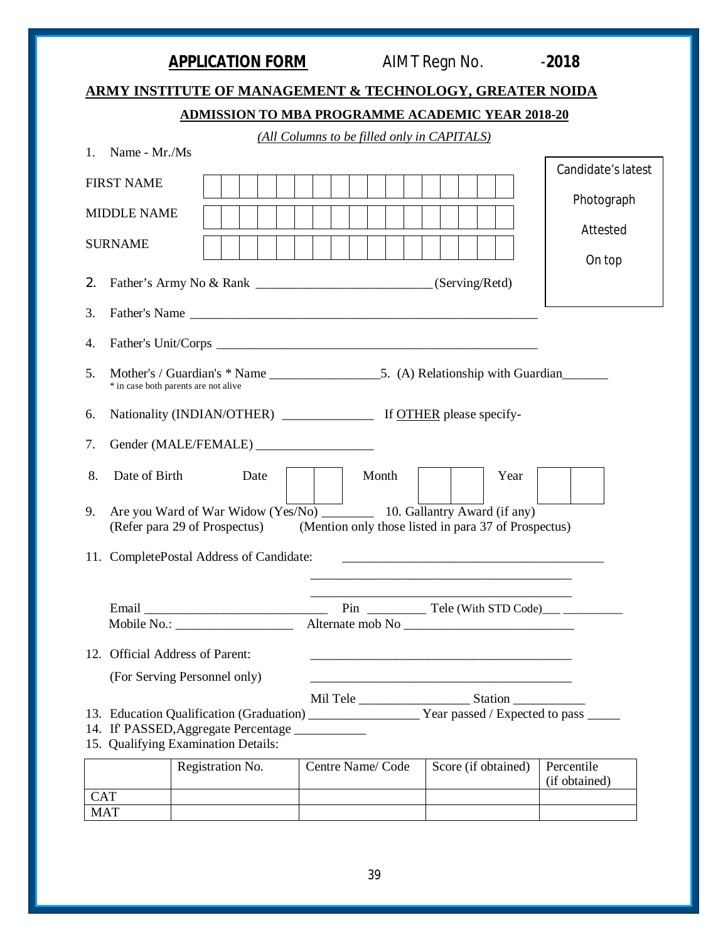|                                                                                        |                                                                          |                                             | <b>ADMISSION TO MBA PROGRAMME ACADEMIC YEAR 2018-20</b>                                                               |                             |
|----------------------------------------------------------------------------------------|--------------------------------------------------------------------------|---------------------------------------------|-----------------------------------------------------------------------------------------------------------------------|-----------------------------|
|                                                                                        |                                                                          | (All Columns to be filled only in CAPITALS) |                                                                                                                       |                             |
| Name - Mr./Ms<br>$\mathbf{1}_{\cdot}$                                                  |                                                                          |                                             |                                                                                                                       | Candidate's latest          |
| <b>FIRST NAME</b>                                                                      |                                                                          |                                             |                                                                                                                       |                             |
| <b>MIDDLE NAME</b>                                                                     |                                                                          |                                             |                                                                                                                       | Photograph                  |
| <b>SURNAME</b>                                                                         |                                                                          |                                             |                                                                                                                       | Attested                    |
|                                                                                        |                                                                          |                                             |                                                                                                                       | On top                      |
| 2.                                                                                     | Father's Army No & Rank __________________________________(Serving/Retd) |                                             |                                                                                                                       |                             |
| 3.                                                                                     |                                                                          |                                             | Father's Name                                                                                                         |                             |
| 4.                                                                                     |                                                                          |                                             |                                                                                                                       |                             |
|                                                                                        |                                                                          |                                             |                                                                                                                       |                             |
| 5.<br>* in case both parents are not alive                                             |                                                                          |                                             |                                                                                                                       |                             |
| 6.                                                                                     |                                                                          |                                             |                                                                                                                       |                             |
|                                                                                        |                                                                          |                                             |                                                                                                                       |                             |
|                                                                                        |                                                                          |                                             |                                                                                                                       |                             |
| 7.                                                                                     | Gender (MALE/FEMALE) _____________________                               |                                             |                                                                                                                       |                             |
| 8.<br>Date of Birth                                                                    | Date                                                                     | Month                                       | Year                                                                                                                  |                             |
|                                                                                        |                                                                          |                                             | Are you Ward of War Widow (Yes/No) 10. Gallantry Award (if any)                                                       |                             |
|                                                                                        |                                                                          |                                             | (Refer para 29 of Prospectus) (Mention only those listed in para 37 of Prospectus)                                    |                             |
|                                                                                        |                                                                          |                                             |                                                                                                                       |                             |
|                                                                                        |                                                                          |                                             |                                                                                                                       |                             |
|                                                                                        |                                                                          |                                             |                                                                                                                       |                             |
| 9.<br>11. CompletePostal Address of Candidate:                                         |                                                                          |                                             |                                                                                                                       |                             |
| 12. Official Address of Parent:                                                        |                                                                          |                                             | <u> 1989 - Johann John Stoff, deutscher Stoffen und der Stoffen und der Stoffen und der Stoffen und der Stoffen u</u> |                             |
| (For Serving Personnel only)                                                           |                                                                          |                                             |                                                                                                                       |                             |
|                                                                                        |                                                                          |                                             |                                                                                                                       |                             |
|                                                                                        |                                                                          |                                             |                                                                                                                       |                             |
| 14. If PASSED, Aggregate Percentage ___________<br>15. Qualifying Examination Details: | Registration No.                                                         | Centre Name/Code                            | Score (if obtained)                                                                                                   | Percentile<br>(if obtained) |